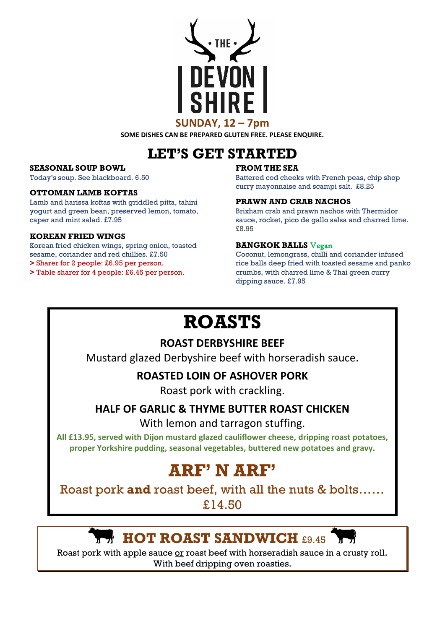### **SUNDAY, 12 – 7pm**

**SOME DISHES CAN BE PREPARED GLUTEN FREE. PLEASE ENQUIRE.**

# **LET'S GET STARTED**

#### **SEASONAL SOUP BOWL**

Today's soup. See blackboard. 6.50

#### **OTTOMAN LAMB KOFTAS**

Lamb and harissa koftas with griddled pitta, tahini yogurt and green bean, preserved lemon, tomato, caper and mint salad. £7.95

#### **KOREAN FRIED WINGS**

Korean fried chicken wings, spring onion, toasted sesame, coriander and red chillies. £7.50

**>** Sharer for 2 people: £6.95 per person.

**>** Table sharer for 4 people: £6.45 per person.

#### **FROM THE SEA**

Battered cod cheeks with French peas, chip shop curry mayonnaise and scampi salt. £8.25

#### **PRAWN AND CRAB NACHOS**

Brixham crab and prawn nachos with Thermidor sauce, rocket, pico de gallo salsa and charred lime. £8.95

#### **BANGKOK BALLS** Vegan

Coconut, lemongrass, chilli and coriander infused rice balls deep fried with toasted sesame and panko crumbs, with charred lime & Thai green curry dipping sauce. £7.95

# **ROASTS**

## **ROAST DERBYSHIRE BEEF**

Mustard glazed Derbyshire beef with horseradish sauce.

## **ROASTED LOIN OF ASHOVER PORK**

Roast pork with crackling.

## **HALF OF GARLIC & THYME BUTTER ROAST CHICKEN**

With lemon and tarragon stuffing.

**All £13.95, served with Dijon mustard glazed cauliflower cheese, dripping roast potatoes, proper Yorkshire pudding, seasonal vegetables, buttered new potatoes and gravy.**

# **ARF' N ARF'**

Roast pork **and** roast beef, with all the nuts & bolts……

£14.50

## **HOT ROAST SANDWICH** £9.45

Roast pork with apple sauce or roast beef with horseradish sauce in a crusty roll. With beef dripping oven roasties.